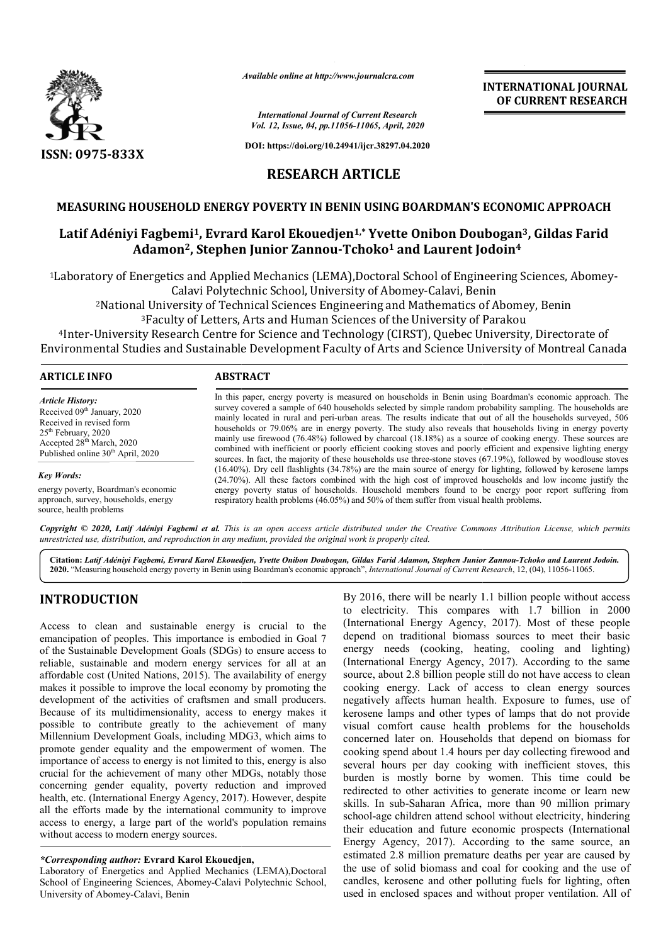

*Available online at http://www.journalcra.com*

*International Journal of Current Research Vol. 12, Issue, 04, pp.11056-11065, April, 2020*

**DOI: https://doi.org/10.24941/ijcr.38297.04.2020**

# **INTERNATIONAL JOURNAL OF CURRENT RESEARCH**

## **RESEARCH ARTICLE**

## MEASURING HOUSEHOLD ENERGY POVERTY IN BENIN USING BOARDMAN'S ECONOMIC APPROACH

## Latif Adéniyi Fagbemi<sup>1</sup>, Evrard Karol Ekouedjen<sup>1,\*</sup> Yvette Onibon Doubogan<sup>3</sup>, Gildas Farid **Adamon2, Stephen Junior Zannou , Zannou-Tchoko1 and Laurent Jodoin Laurent Jodoin4**

1Laboratory of Energetics and Applied Mechanics (LEMA),Doctoral School of Engineering Laboratory Abomey-Calavi, Benin (LEMA),Doctoral School Engineering Sciences, Abomey-Calavi Polytechnic School, University of Abomey Calavi Polytechnic School, University of Abomey-Calavi, Benin<br><sup>2</sup>National University of Technical Sciences Engineering and Mathematics of Abomey, Benin<br><sup>3</sup>Faculty of Letters, Arts and Human Sciences of the University of Pa

2National University of Technical Sciences Engineering and Mathematics of Abomey, Benin 3Faculty of Letters, Arts and Human Sciences of the University of Parakou <sup>2</sup>National University of Technical Sciences Engineering and Mathematics of Abomey, Benin<sup>3</sup>Faculty of Letters, Arts and Human Sciences of the University of Parakou<sup>3</sup>Faculty of Letters, Arts and Human Sciences of the Univ

| <b>ARTICLE INFO</b>                                                                                                                                                                                   | <b>ABSTRACT</b>                                                                                                                                                                                                                                                                                                                                                                                                                                                                                                                                                                                                                                                                                                                                                                                                                                                                                                                                                                                                                                                                                                                                                                                                                                         |  |  |
|-------------------------------------------------------------------------------------------------------------------------------------------------------------------------------------------------------|---------------------------------------------------------------------------------------------------------------------------------------------------------------------------------------------------------------------------------------------------------------------------------------------------------------------------------------------------------------------------------------------------------------------------------------------------------------------------------------------------------------------------------------------------------------------------------------------------------------------------------------------------------------------------------------------------------------------------------------------------------------------------------------------------------------------------------------------------------------------------------------------------------------------------------------------------------------------------------------------------------------------------------------------------------------------------------------------------------------------------------------------------------------------------------------------------------------------------------------------------------|--|--|
| <b>Article History:</b><br>Received 09th January, 2020<br>Received in revised form<br>$25th$ February, 2020<br>Accepted 28 <sup>th</sup> March, 2020<br>Published online 30 <sup>th</sup> April, 2020 | In this paper, energy poverty is measured on households in Benin using Boardman's economic approach. The<br>survey covered a sample of 640 households selected by simple random probability sampling. The households are<br>mainly located in rural and peri-urban areas. The results indicate that out of all the households surveyed, 506<br>households or 79.06% are in energy poverty. The study also reveals that households living in energy poverty<br>mainly use firewood (76.48%) followed by charcoal (18.18%) as a source of cooking energy. These sources are<br>combined with inefficient or poorly efficient cooking stoves and poorly efficient and expensive lighting energy<br>sources. In fact, the majority of these households use three-stone stoves $(67.19\%)$ , followed by woodlouse stoves<br>(16.40%). Dry cell flashlights (34.78%) are the main source of energy for lighting, followed by kerosene lamps<br>(24.70%). All these factors combined with the high cost of improved households and low income justify the<br>energy poverty status of households. Household members found to be energy poor report suffering from<br>respiratory health problems (46.05%) and 50% of them suffer from visual health problems. |  |  |
| <b>Key Words:</b><br>energy poverty, Boardman's economic<br>approach, survey, households, energy<br>source, health problems                                                                           |                                                                                                                                                                                                                                                                                                                                                                                                                                                                                                                                                                                                                                                                                                                                                                                                                                                                                                                                                                                                                                                                                                                                                                                                                                                         |  |  |

Copyright © 2020, Latif Adéniyi Fagbemi et al. This is an open access article distributed under the Creative Commons Attribution License, which permits *unrestricted use, distribution, and reproduction in any medium, provided the original work is properly cited.*

Citation: Latif Adéniyi Fagbemi, Evrard Karol Ekouedjen, Yvette Onibon Doubogan, Gildas Farid Adamon, Stephen Junior Zannou-Tchoko and Laurent Jodoin. 2020. "Measuring household energy poverty in Benin using Boardman's economic approach", *International Journal of Current Research*, 12, (04), 11056-11065.

## **INTRODUCTION**

Access to clean and sustainable energy is crucial to the emancipation of peoples. This importance is embodied in Goal 7 of the Sustainable Development Goals (SDGs) to ensure access to reliable, sustainable and modern energy services for all at an affordable cost (United Nations, 2015). The availability of energy makes it possible to improve the local economy by promoting the development of the activities of craftsmen and small producers. Because of its multidimensionality, access to energy makes it possible to contribute greatly to the achievement of many Millennium Development Goals, including MDG3, which aims to promote gender equality and the empowerment of women. The importance of access to energy is not limited to this, energy is also crucial for the achievement of many other MDGs, notably those concerning gender equality, poverty reduction and improved health, etc. (International Energy Agency, 2017). However, despite all the efforts made by the international community to improve access to energy, a large part of the world's population remains without access to modern energy sources. e cost (United Nation<br>possible to improve<br>nent of the activitie<br>of its multidimens<br>to contribute gree<br>um Development Go<br>gender equality an<br>ce of access to ener<br>or the achievement<br>gender equality<br>c. (International Energy en

### *\*Corresponding author:* **Evrard Karol Ekouedjen Ekouedjen,**

Laboratory of Energetics and Applied Mechanics (LEMA),Doctoral School of Engineering Sciences, Abomey-Calavi Polytechnic School, University of Abomey-Calavi, Benin

By 2016, there will be nearly 1.1 billion people without access to electricity. This compares with 1.7 billion in 2000 (International Energy Agency, 2017). Most of these people depend on traditional biomass sources to meet their basic energy needs (cooking, heating, cooling and lighting) (International Energy Agency, 2017). According to the same source, about 2.8 billion people still do not have access to clean cooking energy. Lack of access to clean energy sources negatively affects human health. Exposure to fumes, use of kerosene lamps and other types of lamps that do not provide visual comfort cause health problems for the households concerned later on. Households that depend on biomass for cooking spend about 1.4 hours per day collecting firewood and several hours per day cooking with inefficient stoves, this burden is mostly borne by women. This time could be redirected to other activities to generate income or learn new skills. In sub-Saharan Africa, more than 90 million primary school-age children attend school without electricity, hindering their education and future economic prospects (International Energy Agency, 2017). According to the same source, an estimated 2.8 million premature deaths per year are caused by the use of solid biomass and coal for cooking and the use of candles, kerosene and other polluting fuels for lighting, often used in enclosed spaces and without proper ventilation. All of By 2016, there will be nearly 1.1 billion people without access<br>to electricity. This compares with 1.7 billion in 2000<br>(International Energy Agency, 2017). Most of these people<br>depend on traditional biomass sources to meet osene lamps and other types of lamps that do not provide<br>ual comfort cause health problems for the households<br>necerned later on. Households that depend on biomass for<br>oking spend about 1.4 hours per day collecting firewood **EXEREMATIONAL JOURNAL FORMATIONAL JOURNAL FORMATION ASSUMED APM APM 2020**<br> **EXECUTE ACCONDIST CONSULTS AND AND APPROACH**<br> **EXECUTE ACCONDIST CONSULTS AND AND APPROACH**<br> **EXECUTE CONSULTS CONSULTS AND AND CONSULTS AND AND**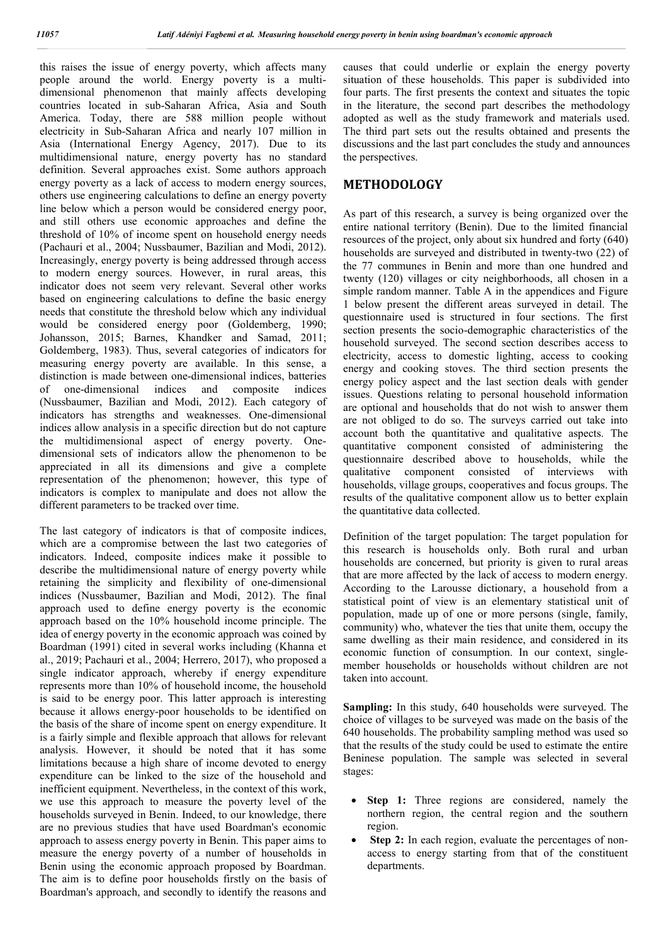this raises the issue of energy poverty, which affects many people around the world. Energy poverty is a multidimensional phenomenon that mainly affects developing countries located in sub-Saharan Africa, Asia and South America. Today, there are 588 million people without electricity in Sub-Saharan Africa and nearly 107 million in Asia (International Energy Agency, 2017). Due to its multidimensional nature, energy poverty has no standard definition. Several approaches exist. Some authors approach energy poverty as a lack of access to modern energy sources, others use engineering calculations to define an energy poverty line below which a person would be considered energy poor, and still others use economic approaches and define the threshold of 10% of income spent on household energy needs (Pachauri et al., 2004; Nussbaumer, Bazilian and Modi, 2012). Increasingly, energy poverty is being addressed through access to modern energy sources. However, in rural areas, this indicator does not seem very relevant. Several other works based on engineering calculations to define the basic energy needs that constitute the threshold below which any individual would be considered energy poor (Goldemberg, 1990; Johansson, 2015; Barnes, Khandker and Samad, 2011; Goldemberg, 1983). Thus, several categories of indicators for measuring energy poverty are available. In this sense, a distinction is made between one-dimensional indices, batteries of one-dimensional indices and composite indices (Nussbaumer, Bazilian and Modi, 2012). Each category of indicators has strengths and weaknesses. One-dimensional indices allow analysis in a specific direction but do not capture the multidimensional aspect of energy poverty. Onedimensional sets of indicators allow the phenomenon to be appreciated in all its dimensions and give a complete representation of the phenomenon; however, this type of indicators is complex to manipulate and does not allow the different parameters to be tracked over time.

The last category of indicators is that of composite indices, which are a compromise between the last two categories of indicators. Indeed, composite indices make it possible to describe the multidimensional nature of energy poverty while retaining the simplicity and flexibility of one-dimensional indices (Nussbaumer, Bazilian and Modi, 2012). The final approach used to define energy poverty is the economic approach based on the 10% household income principle. The idea of energy poverty in the economic approach was coined by Boardman (1991) cited in several works including (Khanna et al., 2019; Pachauri et al., 2004; Herrero, 2017), who proposed a single indicator approach, whereby if energy expenditure represents more than 10% of household income, the household is said to be energy poor. This latter approach is interesting because it allows energy-poor households to be identified on the basis of the share of income spent on energy expenditure. It is a fairly simple and flexible approach that allows for relevant analysis. However, it should be noted that it has some limitations because a high share of income devoted to energy expenditure can be linked to the size of the household and inefficient equipment. Nevertheless, in the context of this work, we use this approach to measure the poverty level of the households surveyed in Benin. Indeed, to our knowledge, there are no previous studies that have used Boardman's economic approach to assess energy poverty in Benin. This paper aims to measure the energy poverty of a number of households in Benin using the economic approach proposed by Boardman. The aim is to define poor households firstly on the basis of Boardman's approach, and secondly to identify the reasons and

causes that could underlie or explain the energy poverty situation of these households. This paper is subdivided into four parts. The first presents the context and situates the topic in the literature, the second part describes the methodology adopted as well as the study framework and materials used. The third part sets out the results obtained and presents the discussions and the last part concludes the study and announces the perspectives.

## **METHODOLOGY**

As part of this research, a survey is being organized over the entire national territory (Benin). Due to the limited financial resources of the project, only about six hundred and forty (640) households are surveyed and distributed in twenty-two (22) of the 77 communes in Benin and more than one hundred and twenty (120) villages or city neighborhoods, all chosen in a simple random manner. Table A in the appendices and Figure 1 below present the different areas surveyed in detail. The questionnaire used is structured in four sections. The first section presents the socio-demographic characteristics of the household surveyed. The second section describes access to electricity, access to domestic lighting, access to cooking energy and cooking stoves. The third section presents the energy policy aspect and the last section deals with gender issues. Questions relating to personal household information are optional and households that do not wish to answer them are not obliged to do so. The surveys carried out take into account both the quantitative and qualitative aspects. The quantitative component consisted of administering the questionnaire described above to households, while the qualitative component consisted of interviews with households, village groups, cooperatives and focus groups. The results of the qualitative component allow us to better explain the quantitative data collected.

Definition of the target population: The target population for this research is households only. Both rural and urban households are concerned, but priority is given to rural areas that are more affected by the lack of access to modern energy. According to the Larousse dictionary, a household from a statistical point of view is an elementary statistical unit of population, made up of one or more persons (single, family, community) who, whatever the ties that unite them, occupy the same dwelling as their main residence, and considered in its economic function of consumption. In our context, singlemember households or households without children are not taken into account.

**Sampling:** In this study, 640 households were surveyed. The choice of villages to be surveyed was made on the basis of the 640 households. The probability sampling method was used so that the results of the study could be used to estimate the entire Beninese population. The sample was selected in several stages:

- **Step 1:** Three regions are considered, namely the northern region, the central region and the southern region.
- **Step 2:** In each region, evaluate the percentages of nonaccess to energy starting from that of the constituent departments.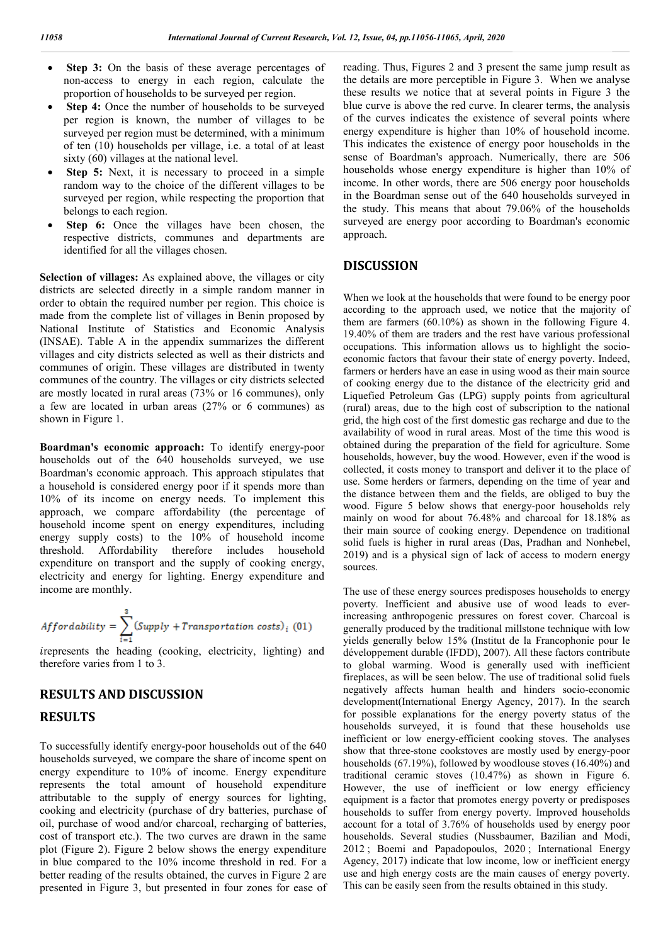- Step 3: On the basis of these average percentages of non-access to energy in each region, calculate the proportion of households to be surveyed per region.
- **Step 4:** Once the number of households to be surveyed per region is known, the number of villages to be surveyed per region must be determined, with a minimum of ten (10) households per village, i.e. a total of at least sixty (60) villages at the national level.
- **Step 5:** Next, it is necessary to proceed in a simple random way to the choice of the different villages to be surveyed per region, while respecting the proportion that belongs to each region.
- **Step 6:** Once the villages have been chosen, the respective districts, communes and departments are identified for all the villages chosen.

**Selection of villages:** As explained above, the villages or city districts are selected directly in a simple random manner in order to obtain the required number per region. This choice is made from the complete list of villages in Benin proposed by National Institute of Statistics and Economic Analysis (INSAE). Table A in the appendix summarizes the different villages and city districts selected as well as their districts and communes of origin. These villages are distributed in twenty communes of the country. The villages or city districts selected are mostly located in rural areas (73% or 16 communes), only a few are located in urban areas (27% or 6 communes) as shown in Figure 1.

**Boardman's economic approach:** To identify energy-poor households out of the 640 households surveyed, we use Boardman's economic approach. This approach stipulates that a household is considered energy poor if it spends more than 10% of its income on energy needs. To implement this approach, we compare affordability (the percentage of household income spent on energy expenditures, including energy supply costs) to the 10% of household income threshold. Affordability therefore includes household expenditure on transport and the supply of cooking energy, electricity and energy for lighting. Energy expenditure and income are monthly.

$$
Affordability = \sum_{i=1}^{3} (Supply + Transformation \ costs)_i \ (01)
$$

irepresents the heading (cooking, electricity, lighting) and therefore varies from 1 to 3.

# **RESULTS AND DISCUSSION RESULTS**

To successfully identify energy-poor households out of the 640 households surveyed, we compare the share of income spent on energy expenditure to 10% of income. Energy expenditure represents the total amount of household expenditure attributable to the supply of energy sources for lighting, cooking and electricity (purchase of dry batteries, purchase of oil, purchase of wood and/or charcoal, recharging of batteries, cost of transport etc.). The two curves are drawn in the same plot (Figure 2). Figure 2 below shows the energy expenditure in blue compared to the 10% income threshold in red. For a better reading of the results obtained, the curves in Figure 2 are presented in Figure 3, but presented in four zones for ease of reading. Thus, Figures 2 and 3 present the same jump result as the details are more perceptible in Figure 3. When we analyse these results we notice that at several points in Figure 3 the blue curve is above the red curve. In clearer terms, the analysis of the curves indicates the existence of several points where energy expenditure is higher than 10% of household income. This indicates the existence of energy poor households in the sense of Boardman's approach. Numerically, there are 506 households whose energy expenditure is higher than 10% of income. In other words, there are 506 energy poor households in the Boardman sense out of the 640 households surveyed in the study. This means that about 79.06% of the households surveyed are energy poor according to Boardman's economic approach.

### **DISCUSSION**

When we look at the households that were found to be energy poor according to the approach used, we notice that the majority of them are farmers (60.10%) as shown in the following Figure 4. 19.40% of them are traders and the rest have various professional occupations. This information allows us to highlight the socioeconomic factors that favour their state of energy poverty. Indeed, farmers or herders have an ease in using wood as their main source of cooking energy due to the distance of the electricity grid and Liquefied Petroleum Gas (LPG) supply points from agricultural (rural) areas, due to the high cost of subscription to the national grid, the high cost of the first domestic gas recharge and due to the availability of wood in rural areas. Most of the time this wood is obtained during the preparation of the field for agriculture. Some households, however, buy the wood. However, even if the wood is collected, it costs money to transport and deliver it to the place of use. Some herders or farmers, depending on the time of year and the distance between them and the fields, are obliged to buy the wood. Figure 5 below shows that energy-poor households rely mainly on wood for about 76.48% and charcoal for 18.18% as their main source of cooking energy. Dependence on traditional solid fuels is higher in rural areas (Das, Pradhan and Nonhebel, 2019) and is a physical sign of lack of access to modern energy sources.

The use of these energy sources predisposes households to energy poverty. Inefficient and abusive use of wood leads to everincreasing anthropogenic pressures on forest cover. Charcoal is generally produced by the traditional millstone technique with low yields generally below 15% (Institut de la Francophonie pour le développement durable (IFDD), 2007). All these factors contribute to global warming. Wood is generally used with inefficient fireplaces, as will be seen below. The use of traditional solid fuels negatively affects human health and hinders socio-economic development(International Energy Agency, 2017). In the search for possible explanations for the energy poverty status of the households surveyed, it is found that these households use inefficient or low energy-efficient cooking stoves. The analyses show that three-stone cookstoves are mostly used by energy-poor households (67.19%), followed by woodlouse stoves (16.40%) and traditional ceramic stoves (10.47%) as shown in Figure 6. However, the use of inefficient or low energy efficiency equipment is a factor that promotes energy poverty or predisposes households to suffer from energy poverty. Improved households account for a total of 3.76% of households used by energy poor households. Several studies (Nussbaumer, Bazilian and Modi, 2012 ; Boemi and Papadopoulos, 2020 ; International Energy Agency, 2017) indicate that low income, low or inefficient energy use and high energy costs are the main causes of energy poverty. This can be easily seen from the results obtained in this study.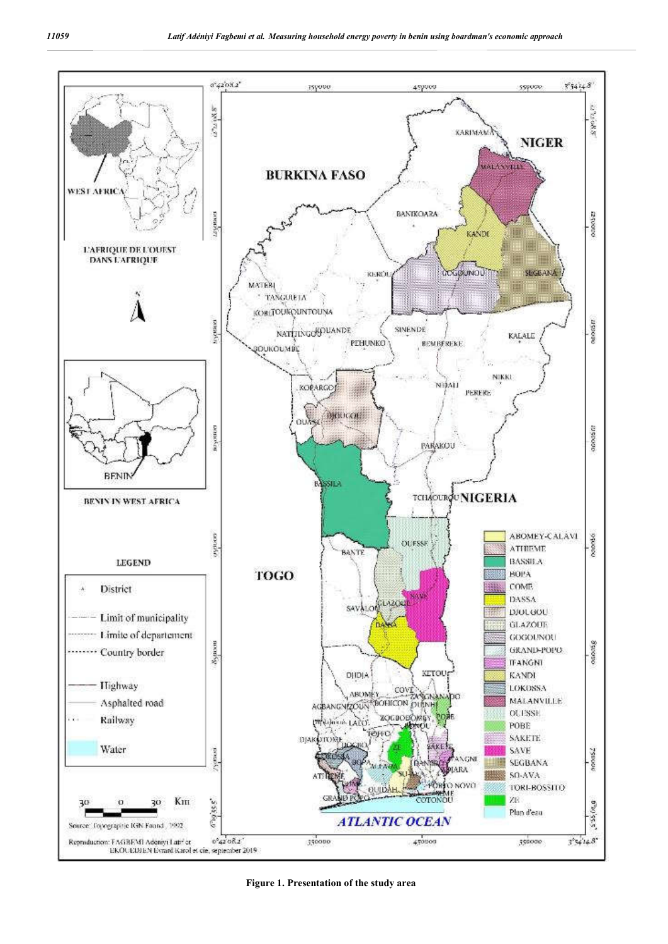

**Figure 1. Presentation of the study area**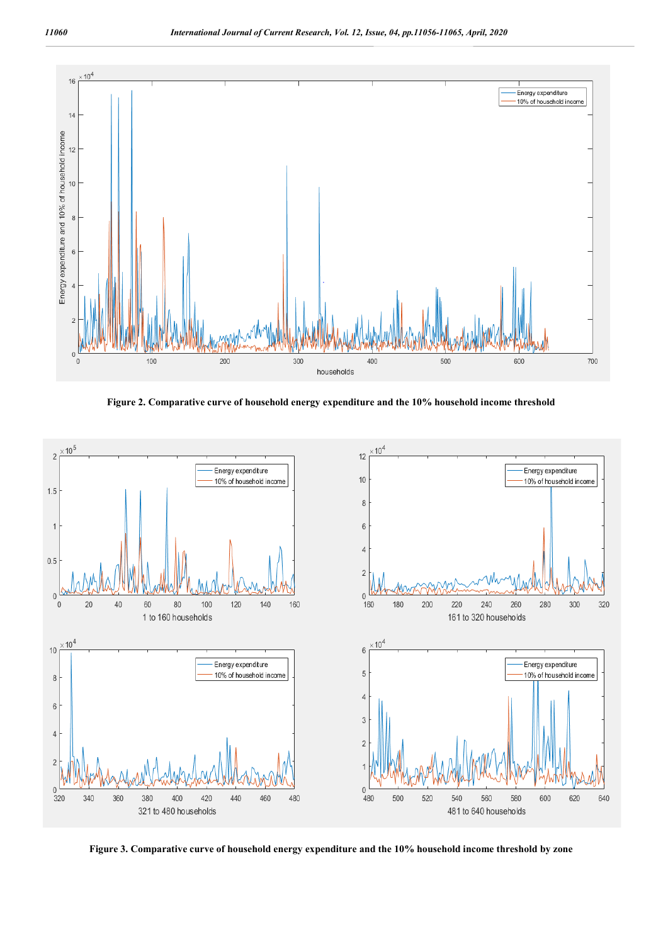

**Figure 2. Comparative curve of household energy expenditure and the 10% household income threshold**



**Figure 3. Comparative curve of household energy expenditure and the 10% household income threshold by zone**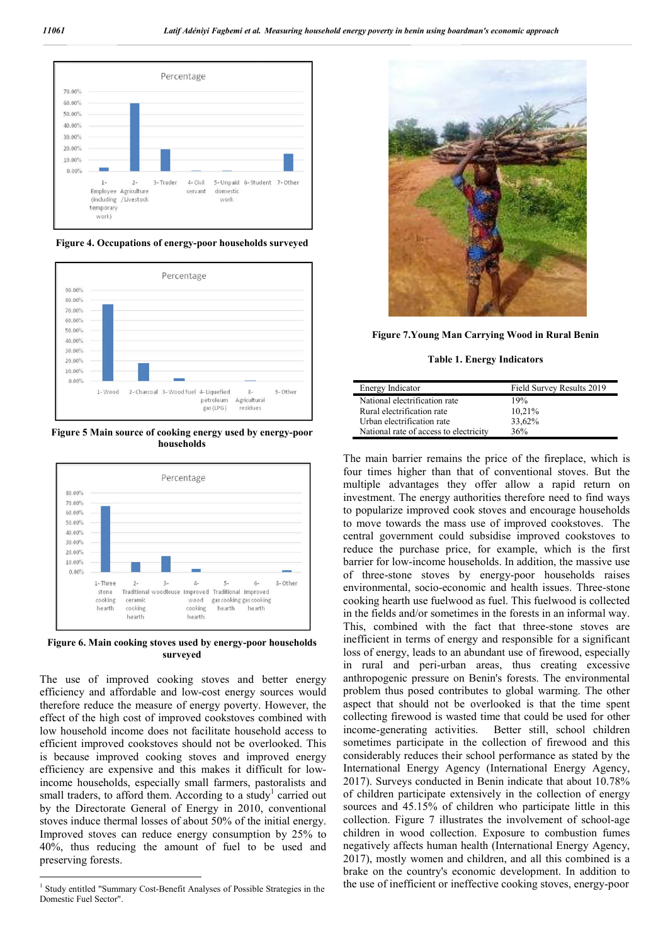

**Figure 4. Occupations of energy-poor households surveyed**



**Figure 5 Main source of cooking energy used by energy-poor households**



**Figure 6. Main cooking stoves used by energy-poor households surveyed**

The use of improved cooking stoves and better energy efficiency and affordable and low-cost energy sources would therefore reduce the measure of energy poverty. However, the effect of the high cost of improved cookstoves combined with low household income does not facilitate household access to efficient improved cookstoves should not be overlooked. This is because improved cooking stoves and improved energy efficiency are expensive and this makes it difficult for lowincome households, especially small farmers, pastoralists and small traders, to afford them. According to a study<sup>1</sup> carried out by the Directorate General of Energy in 2010, conventional stoves induce thermal losses of about 50% of the initial energy. Improved stoves can reduce energy consumption by 25% to 40%, thus reducing the amount of fuel to be used and preserving forests.



**Figure 7.Young Man Carrying Wood in Rural Benin**

**Table 1. Energy Indicators**

| Energy Indicator                       | Field Survey Results 2019 |
|----------------------------------------|---------------------------|
| National electrification rate          | 19%                       |
| Rural electrification rate             | 10.21%                    |
| Urban electrification rate             | 33.62%                    |
| National rate of access to electricity | 36%                       |

The main barrier remains the price of the fireplace, which is four times higher than that of conventional stoves. But the multiple advantages they offer allow a rapid return on investment. The energy authorities therefore need to find ways to popularize improved cook stoves and encourage households to move towards the mass use of improved cookstoves. The central government could subsidise improved cookstoves to reduce the purchase price, for example, which is the first barrier for low-income households. In addition, the massive use of three-stone stoves by energy-poor households raises environmental, socio-economic and health issues. Three-stone cooking hearth use fuelwood as fuel. This fuelwood is collected in the fields and/or sometimes in the forests in an informal way. This, combined with the fact that three-stone stoves are inefficient in terms of energy and responsible for a significant loss of energy, leads to an abundant use of firewood, especially in rural and peri-urban areas, thus creating excessive anthropogenic pressure on Benin's forests. The environmental problem thus posed contributes to global warming. The other aspect that should not be overlooked is that the time spent collecting firewood is wasted time that could be used for other income-generating activities. Better still, school children sometimes participate in the collection of firewood and this considerably reduces their school performance as stated by the International Energy Agency (International Energy Agency, 2017). Surveys conducted in Benin indicate that about 10.78% of children participate extensively in the collection of energy sources and 45.15% of children who participate little in this collection. Figure 7 illustrates the involvement of school-age children in wood collection. Exposure to combustion fumes negatively affects human health (International Energy Agency, 2017), mostly women and children, and all this combined is a brake on the country's economic development. In addition to the use of inefficient or ineffective cooking stoves, energy-poor

<sup>&</sup>lt;sup>1</sup> Study entitled "Summary Cost-Benefit Analyses of Possible Strategies in the Domestic Fuel Sector".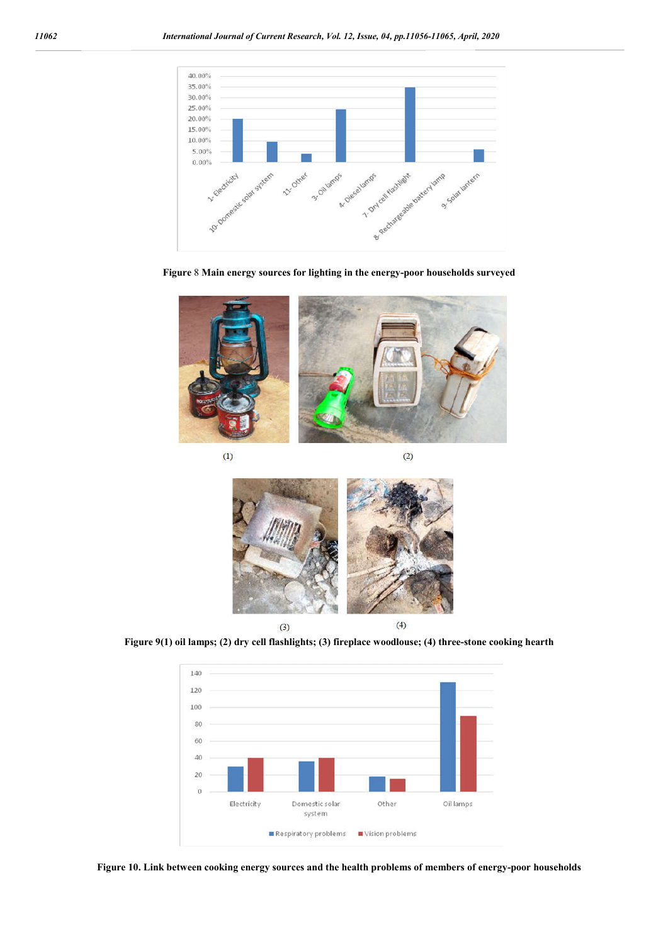

**Figure** 8 **Main energy sources for lighting in the energy-poor households surveyed**



 $(1)$ 

 $(2)$ 



**Figure 9(1) oil lamps; (2) dry cell flashlights; (3) fireplace woodlouse; (4) three-stone cooking hearth**



**Figure 10. Link between cooking energy sources and the health problems of members of energy-poor households**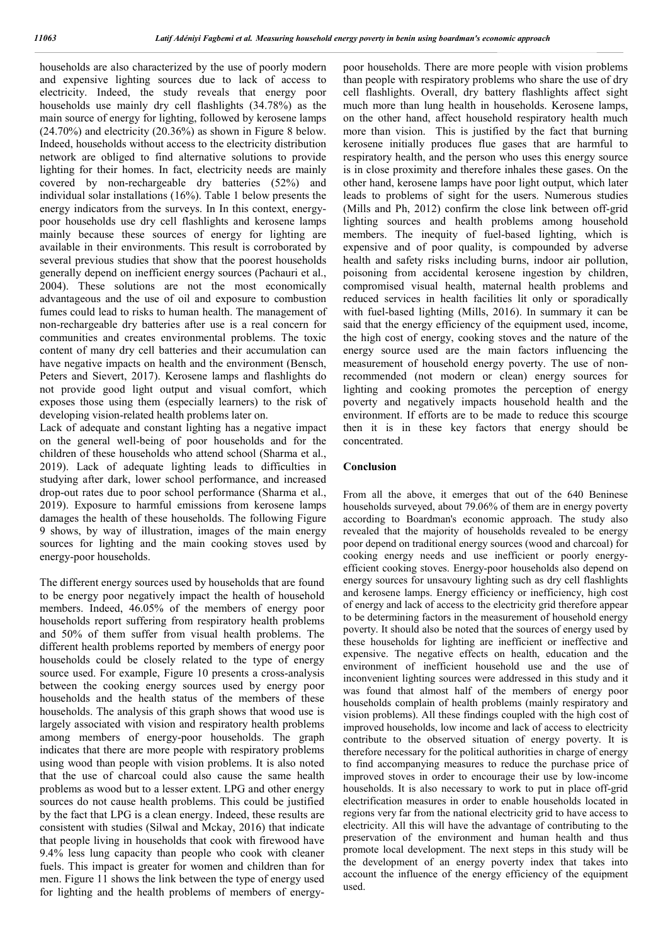households are also characterized by the use of poorly modern and expensive lighting sources due to lack of access to electricity. Indeed, the study reveals that energy poor households use mainly dry cell flashlights (34.78%) as the main source of energy for lighting, followed by kerosene lamps (24.70%) and electricity (20.36%) as shown in Figure 8 below. Indeed, households without access to the electricity distribution network are obliged to find alternative solutions to provide lighting for their homes. In fact, electricity needs are mainly covered by non-rechargeable dry batteries (52%) and individual solar installations (16%). Table 1 below presents the energy indicators from the surveys. In In this context, energypoor households use dry cell flashlights and kerosene lamps mainly because these sources of energy for lighting are available in their environments. This result is corroborated by several previous studies that show that the poorest households generally depend on inefficient energy sources (Pachauri et al., 2004). These solutions are not the most economically advantageous and the use of oil and exposure to combustion fumes could lead to risks to human health. The management of non-rechargeable dry batteries after use is a real concern for communities and creates environmental problems. The toxic content of many dry cell batteries and their accumulation can have negative impacts on health and the environment (Bensch, Peters and Sievert, 2017). Kerosene lamps and flashlights do not provide good light output and visual comfort, which exposes those using them (especially learners) to the risk of developing vision-related health problems later on.

Lack of adequate and constant lighting has a negative impact on the general well-being of poor households and for the children of these households who attend school (Sharma et al., 2019). Lack of adequate lighting leads to difficulties in studying after dark, lower school performance, and increased drop-out rates due to poor school performance (Sharma et al., 2019). Exposure to harmful emissions from kerosene lamps damages the health of these households. The following Figure 9 shows, by way of illustration, images of the main energy sources for lighting and the main cooking stoves used by energy-poor households.

The different energy sources used by households that are found to be energy poor negatively impact the health of household members. Indeed, 46.05% of the members of energy poor households report suffering from respiratory health problems and 50% of them suffer from visual health problems. The different health problems reported by members of energy poor households could be closely related to the type of energy source used. For example, Figure 10 presents a cross-analysis between the cooking energy sources used by energy poor households and the health status of the members of these households. The analysis of this graph shows that wood use is largely associated with vision and respiratory health problems among members of energy-poor households. The graph indicates that there are more people with respiratory problems using wood than people with vision problems. It is also noted that the use of charcoal could also cause the same health problems as wood but to a lesser extent. LPG and other energy sources do not cause health problems. This could be justified by the fact that LPG is a clean energy. Indeed, these results are consistent with studies (Silwal and Mckay, 2016) that indicate that people living in households that cook with firewood have 9.4% less lung capacity than people who cook with cleaner fuels. This impact is greater for women and children than for men. Figure 11 shows the link between the type of energy used for lighting and the health problems of members of energypoor households. There are more people with vision problems than people with respiratory problems who share the use of dry cell flashlights. Overall, dry battery flashlights affect sight much more than lung health in households. Kerosene lamps, on the other hand, affect household respiratory health much more than vision. This is justified by the fact that burning kerosene initially produces flue gases that are harmful to respiratory health, and the person who uses this energy source is in close proximity and therefore inhales these gases. On the other hand, kerosene lamps have poor light output, which later leads to problems of sight for the users. Numerous studies (Mills and Ph, 2012) confirm the close link between off-grid lighting sources and health problems among household members. The inequity of fuel-based lighting, which is expensive and of poor quality, is compounded by adverse health and safety risks including burns, indoor air pollution, poisoning from accidental kerosene ingestion by children, compromised visual health, maternal health problems and reduced services in health facilities lit only or sporadically with fuel-based lighting (Mills, 2016). In summary it can be said that the energy efficiency of the equipment used, income, the high cost of energy, cooking stoves and the nature of the energy source used are the main factors influencing the measurement of household energy poverty. The use of nonrecommended (not modern or clean) energy sources for lighting and cooking promotes the perception of energy poverty and negatively impacts household health and the environment. If efforts are to be made to reduce this scourge then it is in these key factors that energy should be concentrated.

### **Conclusion**

From all the above, it emerges that out of the 640 Beninese households surveyed, about 79.06% of them are in energy poverty according to Boardman's economic approach. The study also revealed that the majority of households revealed to be energy poor depend on traditional energy sources (wood and charcoal) for cooking energy needs and use inefficient or poorly energyefficient cooking stoves. Energy-poor households also depend on energy sources for unsavoury lighting such as dry cell flashlights and kerosene lamps. Energy efficiency or inefficiency, high cost of energy and lack of access to the electricity grid therefore appear to be determining factors in the measurement of household energy poverty. It should also be noted that the sources of energy used by these households for lighting are inefficient or ineffective and expensive. The negative effects on health, education and the environment of inefficient household use and the use of inconvenient lighting sources were addressed in this study and it was found that almost half of the members of energy poor households complain of health problems (mainly respiratory and vision problems). All these findings coupled with the high cost of improved households, low income and lack of access to electricity contribute to the observed situation of energy poverty. It is therefore necessary for the political authorities in charge of energy to find accompanying measures to reduce the purchase price of improved stoves in order to encourage their use by low-income households. It is also necessary to work to put in place off-grid electrification measures in order to enable households located in regions very far from the national electricity grid to have access to electricity. All this will have the advantage of contributing to the preservation of the environment and human health and thus promote local development. The next steps in this study will be the development of an energy poverty index that takes into account the influence of the energy efficiency of the equipment used.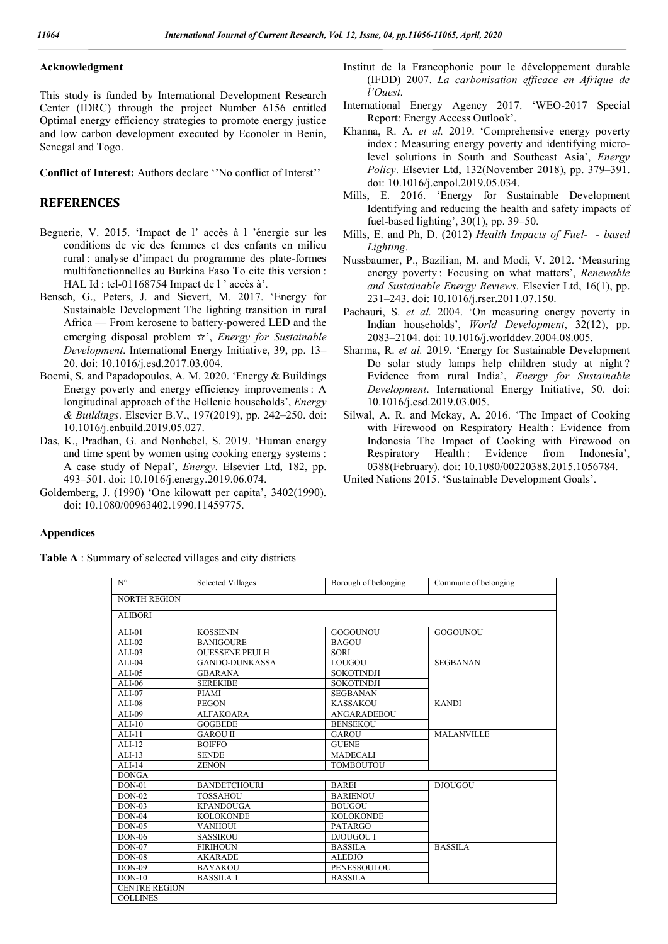### **Acknowledgment**

This study is funded by International Development Research Center (IDRC) through the project Number 6156 entitled Optimal energy efficiency strategies to promote energy justice and low carbon development executed by Econoler in Benin, Senegal and Togo.

**Conflict of Interest:** Authors declare ''No conflict of Interst''

### **REFERENCES**

- Beguerie, V. 2015. 'Impact de l' accès à l 'énergie sur les conditions de vie des femmes et des enfants en milieu rural : analyse d'impact du programme des plate-formes multifonctionnelles au Burkina Faso To cite this version : HAL Id : tel-01168754 Impact de l ' accès à'.
- Bensch, G., Peters, J. and Sievert, M. 2017. 'Energy for Sustainable Development The lighting transition in rural Africa — From kerosene to battery-powered LED and the emerging disposal problem ☆', *Energy for Sustainable Development*. International Energy Initiative, 39, pp. 13– 20. doi: 10.1016/j.esd.2017.03.004.
- Boemi, S. and Papadopoulos, A. M. 2020. 'Energy & Buildings Energy poverty and energy efficiency improvements : A longitudinal approach of the Hellenic households', *Energy & Buildings*. Elsevier B.V., 197(2019), pp. 242–250. doi: 10.1016/j.enbuild.2019.05.027.
- Das, K., Pradhan, G. and Nonhebel, S. 2019. 'Human energy and time spent by women using cooking energy systems : A case study of Nepal', *Energy*. Elsevier Ltd, 182, pp. 493–501. doi: 10.1016/j.energy.2019.06.074.
- Goldemberg, J. (1990) 'One kilowatt per capita', 3402(1990). doi: 10.1080/00963402.1990.11459775.
- Institut de la Francophonie pour le développement durable (IFDD) 2007. *La carbonisation efficace en Afrique de l'Ouest*.
- International Energy Agency 2017. 'WEO-2017 Special Report: Energy Access Outlook'.
- Khanna, R. A. *et al.* 2019. 'Comprehensive energy poverty index : Measuring energy poverty and identifying microlevel solutions in South and Southeast Asia', *Energy Policy*. Elsevier Ltd, 132(November 2018), pp. 379–391. doi: 10.1016/j.enpol.2019.05.034.
- Mills, E. 2016. 'Energy for Sustainable Development Identifying and reducing the health and safety impacts of fuel-based lighting', 30(1), pp. 39–50.
- Mills, E. and Ph, D. (2012) *Health Impacts of Fuel- ‐ based Lighting*.
- Nussbaumer, P., Bazilian, M. and Modi, V. 2012. 'Measuring energy poverty : Focusing on what matters', *Renewable and Sustainable Energy Reviews*. Elsevier Ltd, 16(1), pp. 231–243. doi: 10.1016/j.rser.2011.07.150.
- Pachauri, S. *et al.* 2004. 'On measuring energy poverty in Indian households', *World Development*, 32(12), pp. 2083–2104. doi: 10.1016/j.worlddev.2004.08.005.
- Sharma, R. *et al.* 2019. 'Energy for Sustainable Development Do solar study lamps help children study at night ? Evidence from rural India', *Energy for Sustainable Development*. International Energy Initiative, 50. doi: 10.1016/j.esd.2019.03.005.
- Silwal, A. R. and Mckay, A. 2016. 'The Impact of Cooking with Firewood on Respiratory Health : Evidence from Indonesia The Impact of Cooking with Firewood on Respiratory Health : Evidence from Indonesia', 0388(February). doi: 10.1080/00220388.2015.1056784.

United Nations 2015. 'Sustainable Development Goals'.

#### **Appendices**

**Table A** : Summary of selected villages and city districts

| <b>NORTH REGION</b><br><b>ALIBORI</b><br><b>KOSSENIN</b><br>GOGOUNOU<br><b>GOGOUNOU</b><br><b>BANIGOURE</b><br><b>BAGOU</b><br><b>OUESSENE PEULH</b><br><b>SORI</b><br><b>GANDO-DUNKASSA</b><br>LOUGOU<br><b>SEGBANAN</b><br><b>SOKOTINDJI</b><br><b>GBARANA</b><br><b>SEREKIBE</b><br><b>SOKOTINDJI</b><br><b>PIAMI</b><br><b>SEGBANAN</b><br><b>KANDI</b><br><b>KASSAKOU</b><br><b>PEGON</b><br><b>ALFAKOARA</b><br><b>ANGARADEBOU</b><br><b>GOGBEDE</b><br><b>BENSEKOU</b><br><b>GAROU II</b><br><b>MALANVILLE</b><br>GAROU | Commune of belonging |  |
|--------------------------------------------------------------------------------------------------------------------------------------------------------------------------------------------------------------------------------------------------------------------------------------------------------------------------------------------------------------------------------------------------------------------------------------------------------------------------------------------------------------------------------|----------------------|--|
|                                                                                                                                                                                                                                                                                                                                                                                                                                                                                                                                |                      |  |
|                                                                                                                                                                                                                                                                                                                                                                                                                                                                                                                                |                      |  |
|                                                                                                                                                                                                                                                                                                                                                                                                                                                                                                                                |                      |  |
|                                                                                                                                                                                                                                                                                                                                                                                                                                                                                                                                |                      |  |
|                                                                                                                                                                                                                                                                                                                                                                                                                                                                                                                                |                      |  |
|                                                                                                                                                                                                                                                                                                                                                                                                                                                                                                                                |                      |  |
|                                                                                                                                                                                                                                                                                                                                                                                                                                                                                                                                |                      |  |
|                                                                                                                                                                                                                                                                                                                                                                                                                                                                                                                                |                      |  |
|                                                                                                                                                                                                                                                                                                                                                                                                                                                                                                                                |                      |  |
|                                                                                                                                                                                                                                                                                                                                                                                                                                                                                                                                |                      |  |
|                                                                                                                                                                                                                                                                                                                                                                                                                                                                                                                                |                      |  |
|                                                                                                                                                                                                                                                                                                                                                                                                                                                                                                                                |                      |  |
|                                                                                                                                                                                                                                                                                                                                                                                                                                                                                                                                |                      |  |
| <b>BOIFFO</b><br><b>GUENE</b>                                                                                                                                                                                                                                                                                                                                                                                                                                                                                                  |                      |  |
| <b>SENDE</b><br><b>MADECALI</b>                                                                                                                                                                                                                                                                                                                                                                                                                                                                                                |                      |  |
| <b>ZENON</b><br><b>TOMBOUTOU</b>                                                                                                                                                                                                                                                                                                                                                                                                                                                                                               |                      |  |
|                                                                                                                                                                                                                                                                                                                                                                                                                                                                                                                                |                      |  |
| <b>BANDETCHOURI</b><br><b>BAREI</b><br><b>DJOUGOU</b>                                                                                                                                                                                                                                                                                                                                                                                                                                                                          |                      |  |
| <b>TOSSAHOU</b><br><b>BARIENOU</b>                                                                                                                                                                                                                                                                                                                                                                                                                                                                                             |                      |  |
| <b>KPANDOUGA</b><br><b>BOUGOU</b>                                                                                                                                                                                                                                                                                                                                                                                                                                                                                              |                      |  |
| <b>KOLOKONDE</b><br><b>KOLOKONDE</b>                                                                                                                                                                                                                                                                                                                                                                                                                                                                                           |                      |  |
| <b>VANHOUI</b><br><b>PATARGO</b>                                                                                                                                                                                                                                                                                                                                                                                                                                                                                               |                      |  |
| DJOUGOU I<br><b>SASSIROU</b>                                                                                                                                                                                                                                                                                                                                                                                                                                                                                                   |                      |  |
| <b>BASSILA</b><br><b>FIRIHOUN</b><br><b>BASSILA</b>                                                                                                                                                                                                                                                                                                                                                                                                                                                                            |                      |  |
| <b>AKARADE</b><br><b>ALEDJO</b>                                                                                                                                                                                                                                                                                                                                                                                                                                                                                                |                      |  |
| PENESSOULOU<br><b>BAYAKOU</b>                                                                                                                                                                                                                                                                                                                                                                                                                                                                                                  |                      |  |
| <b>BASSILA 1</b><br><b>BASSILA</b>                                                                                                                                                                                                                                                                                                                                                                                                                                                                                             |                      |  |
| <b>CENTRE REGION</b>                                                                                                                                                                                                                                                                                                                                                                                                                                                                                                           |                      |  |
| <b>COLLINES</b>                                                                                                                                                                                                                                                                                                                                                                                                                                                                                                                |                      |  |